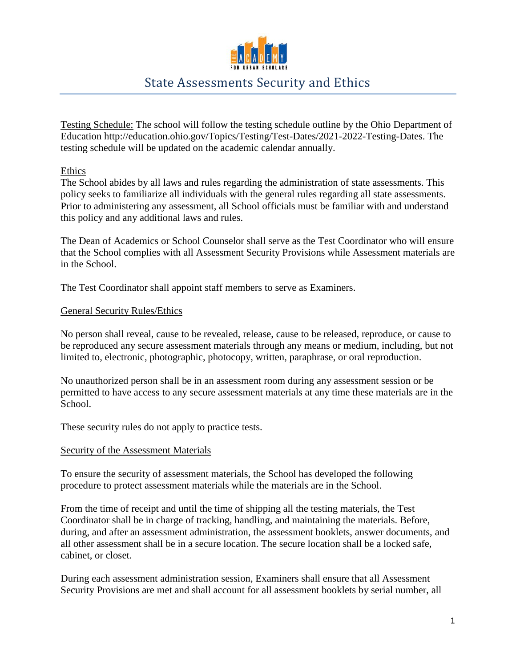

# State Assessments Security and Ethics

Testing Schedule: The school will follow the testing schedule outline by the Ohio Department of Education http://education.ohio.gov/Topics/Testing/Test-Dates/2021-2022-Testing-Dates. The testing schedule will be updated on the academic calendar annually.

Ethics

The School abides by all laws and rules regarding the administration of state assessments. This policy seeks to familiarize all individuals with the general rules regarding all state assessments. Prior to administering any assessment, all School officials must be familiar with and understand this policy and any additional laws and rules.

The Dean of Academics or School Counselor shall serve as the Test Coordinator who will ensure that the School complies with all Assessment Security Provisions while Assessment materials are in the School.

The Test Coordinator shall appoint staff members to serve as Examiners.

#### General Security Rules/Ethics

No person shall reveal, cause to be revealed, release, cause to be released, reproduce, or cause to be reproduced any secure assessment materials through any means or medium, including, but not limited to, electronic, photographic, photocopy, written, paraphrase, or oral reproduction.

No unauthorized person shall be in an assessment room during any assessment session or be permitted to have access to any secure assessment materials at any time these materials are in the School.

These security rules do not apply to practice tests.

#### Security of the Assessment Materials

To ensure the security of assessment materials, the School has developed the following procedure to protect assessment materials while the materials are in the School.

From the time of receipt and until the time of shipping all the testing materials, the Test Coordinator shall be in charge of tracking, handling, and maintaining the materials. Before, during, and after an assessment administration, the assessment booklets, answer documents, and all other assessment shall be in a secure location. The secure location shall be a locked safe, cabinet, or closet.

During each assessment administration session, Examiners shall ensure that all Assessment Security Provisions are met and shall account for all assessment booklets by serial number, all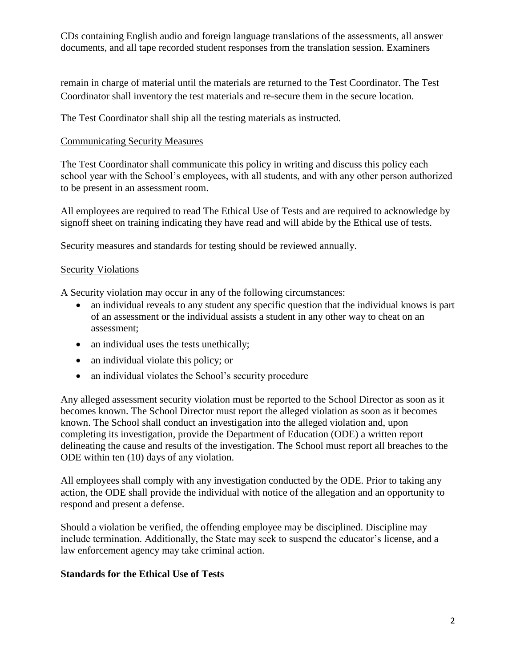CDs containing English audio and foreign language translations of the assessments, all answer documents, and all tape recorded student responses from the translation session. Examiners

remain in charge of material until the materials are returned to the Test Coordinator. The Test Coordinator shall inventory the test materials and re-secure them in the secure location.

The Test Coordinator shall ship all the testing materials as instructed.

## Communicating Security Measures

The Test Coordinator shall communicate this policy in writing and discuss this policy each school year with the School's employees, with all students, and with any other person authorized to be present in an assessment room.

All employees are required to read The Ethical Use of Tests and are required to acknowledge by signoff sheet on training indicating they have read and will abide by the Ethical use of tests.

Security measures and standards for testing should be reviewed annually.

# Security Violations

A Security violation may occur in any of the following circumstances:

- an individual reveals to any student any specific question that the individual knows is part of an assessment or the individual assists a student in any other way to cheat on an assessment;
- an individual uses the tests unethically;
- an individual violate this policy; or
- an individual violates the School's security procedure

Any alleged assessment security violation must be reported to the School Director as soon as it becomes known. The School Director must report the alleged violation as soon as it becomes known. The School shall conduct an investigation into the alleged violation and, upon completing its investigation, provide the Department of Education (ODE) a written report delineating the cause and results of the investigation. The School must report all breaches to the ODE within ten (10) days of any violation.

All employees shall comply with any investigation conducted by the ODE. Prior to taking any action, the ODE shall provide the individual with notice of the allegation and an opportunity to respond and present a defense.

Should a violation be verified, the offending employee may be disciplined. Discipline may include termination. Additionally, the State may seek to suspend the educator's license, and a law enforcement agency may take criminal action.

## **Standards for the Ethical Use of Tests**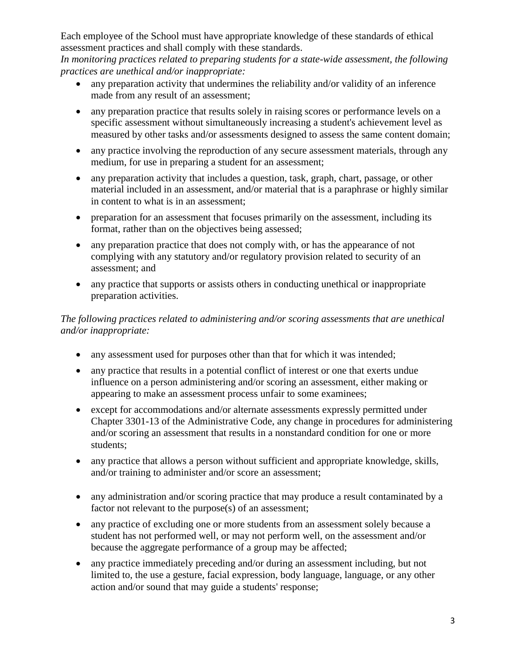Each employee of the School must have appropriate knowledge of these standards of ethical assessment practices and shall comply with these standards.

*In monitoring practices related to preparing students for a state-wide assessment, the following practices are unethical and/or inappropriate:* 

- any preparation activity that undermines the reliability and/or validity of an inference made from any result of an assessment;
- any preparation practice that results solely in raising scores or performance levels on a specific assessment without simultaneously increasing a student's achievement level as measured by other tasks and/or assessments designed to assess the same content domain;
- any practice involving the reproduction of any secure assessment materials, through any medium, for use in preparing a student for an assessment;
- any preparation activity that includes a question, task, graph, chart, passage, or other material included in an assessment, and/or material that is a paraphrase or highly similar in content to what is in an assessment;
- preparation for an assessment that focuses primarily on the assessment, including its format, rather than on the objectives being assessed;
- any preparation practice that does not comply with, or has the appearance of not complying with any statutory and/or regulatory provision related to security of an assessment; and
- any practice that supports or assists others in conducting unethical or inappropriate preparation activities.

# *The following practices related to administering and/or scoring assessments that are unethical and/or inappropriate:*

- any assessment used for purposes other than that for which it was intended;
- any practice that results in a potential conflict of interest or one that exerts undue influence on a person administering and/or scoring an assessment, either making or appearing to make an assessment process unfair to some examinees;
- except for accommodations and/or alternate assessments expressly permitted under Chapter 3301-13 of the Administrative Code, any change in procedures for administering and/or scoring an assessment that results in a nonstandard condition for one or more students;
- any practice that allows a person without sufficient and appropriate knowledge, skills, and/or training to administer and/or score an assessment;
- any administration and/or scoring practice that may produce a result contaminated by a factor not relevant to the purpose(s) of an assessment;
- any practice of excluding one or more students from an assessment solely because a student has not performed well, or may not perform well, on the assessment and/or because the aggregate performance of a group may be affected;
- any practice immediately preceding and/or during an assessment including, but not limited to, the use a gesture, facial expression, body language, language, or any other action and/or sound that may guide a students' response;